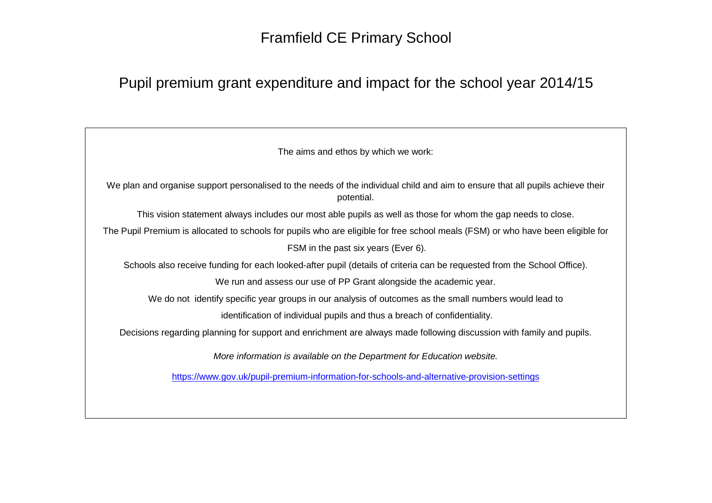## Framfield CE Primary School

## Pupil premium grant expenditure and impact for the school year 2014/15

The aims and ethos by which we work:

We plan and organise support personalised to the needs of the individual child and aim to ensure that all pupils achieve their potential.

This vision statement always includes our most able pupils as well as those for whom the gap needs to close.

The Pupil Premium is allocated to schools for pupils who are eligible for free school meals (FSM) or who have been eligible for FSM in the past six years (Ever 6).

Schools also receive funding for each looked-after pupil (details of criteria can be requested from the School Office).

We run and assess our use of PP Grant alongside the academic year.

We do not identify specific year groups in our analysis of outcomes as the small numbers would lead to

identification of individual pupils and thus a breach of confidentiality.

Decisions regarding planning for support and enrichment are always made following discussion with family and pupils.

More information is available on the Department for Education website.

https://www.gov.uk/pupil-premium-information-for-schools-and-alternative-provision-settings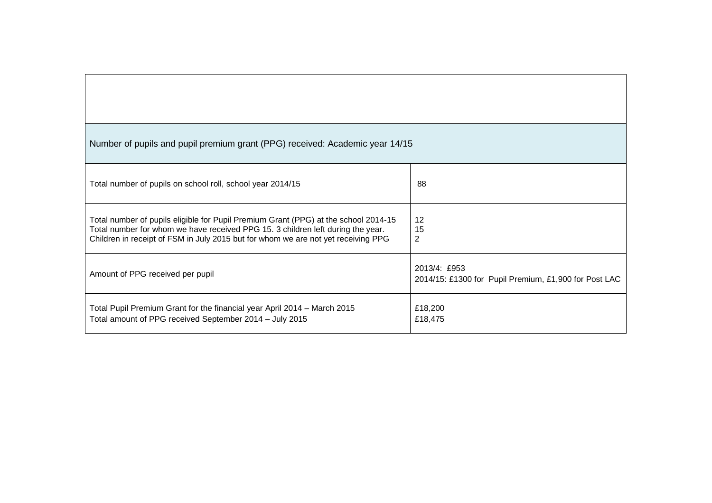| Number of pupils and pupil premium grant (PPG) received: Academic year 14/15                                                                                                                                                                                |                                                                       |  |  |  |
|-------------------------------------------------------------------------------------------------------------------------------------------------------------------------------------------------------------------------------------------------------------|-----------------------------------------------------------------------|--|--|--|
| Total number of pupils on school roll, school year 2014/15                                                                                                                                                                                                  | 88                                                                    |  |  |  |
| Total number of pupils eligible for Pupil Premium Grant (PPG) at the school 2014-15<br>Total number for whom we have received PPG 15. 3 children left during the year.<br>Children in receipt of FSM in July 2015 but for whom we are not yet receiving PPG | 12<br>15<br>2                                                         |  |  |  |
| Amount of PPG received per pupil                                                                                                                                                                                                                            | 2013/4: £953<br>2014/15: £1300 for Pupil Premium, £1,900 for Post LAC |  |  |  |
| Total Pupil Premium Grant for the financial year April 2014 – March 2015<br>Total amount of PPG received September 2014 - July 2015                                                                                                                         | £18,200<br>£18,475                                                    |  |  |  |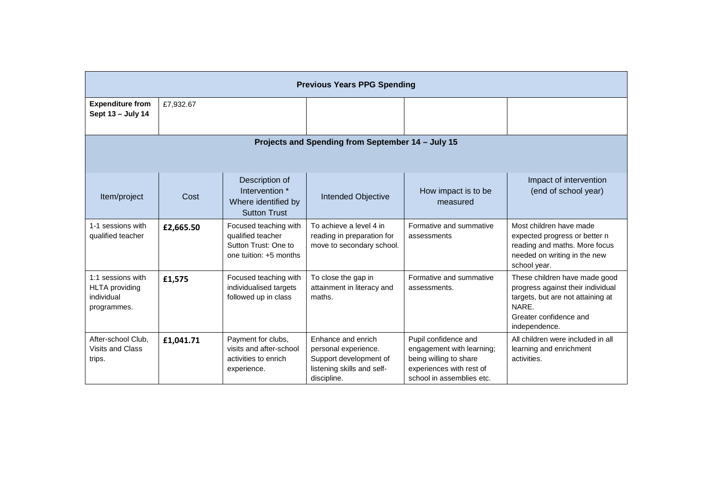| <b>Previous Years PPG Spending</b>                                      |           |                                                                                              |                                                                                                                   |                                                                                                                                      |                                                                                                                                                             |
|-------------------------------------------------------------------------|-----------|----------------------------------------------------------------------------------------------|-------------------------------------------------------------------------------------------------------------------|--------------------------------------------------------------------------------------------------------------------------------------|-------------------------------------------------------------------------------------------------------------------------------------------------------------|
| <b>Expenditure from</b><br>Sept 13 - July 14                            | £7,932.67 |                                                                                              |                                                                                                                   |                                                                                                                                      |                                                                                                                                                             |
| Projects and Spending from September 14 - July 15                       |           |                                                                                              |                                                                                                                   |                                                                                                                                      |                                                                                                                                                             |
| Item/project                                                            | Cost      | Description of<br>Intervention *<br>Where identified by<br><b>Sutton Trust</b>               | Intended Objective                                                                                                | How impact is to be<br>measured                                                                                                      | Impact of intervention<br>(end of school year)                                                                                                              |
| 1-1 sessions with<br>qualified teacher                                  | £2,665.50 | Focused teaching with<br>qualified teacher<br>Sutton Trust: One to<br>one tuition: +5 months | To achieve a level 4 in<br>reading in preparation for<br>move to secondary school.                                | Formative and summative<br>assessments                                                                                               | Most children have made<br>expected progress or better n<br>reading and maths. More focus<br>needed on writing in the new<br>school year.                   |
| 1:1 sessions with<br><b>HLTA</b> providing<br>individual<br>programmes. | £1,575    | Focused teaching with<br>individualised targets<br>followed up in class                      | To close the gap in<br>attainment in literacy and<br>maths.                                                       | Formative and summative<br>assessments.                                                                                              | These children have made good<br>progress against their individual<br>targets, but are not attaining at<br>NARE.<br>Greater confidence and<br>independence. |
| After-school Club.<br>Visits and Class<br>trips.                        | £1,041.71 | Payment for clubs,<br>visits and after-school<br>activities to enrich<br>experience.         | Enhance and enrich<br>personal experience.<br>Support development of<br>listening skills and self-<br>discipline. | Pupil confidence and<br>engagement with learning;<br>being willing to share<br>experiences with rest of<br>school in assemblies etc. | All children were included in all<br>learning and enrichment<br>activities.                                                                                 |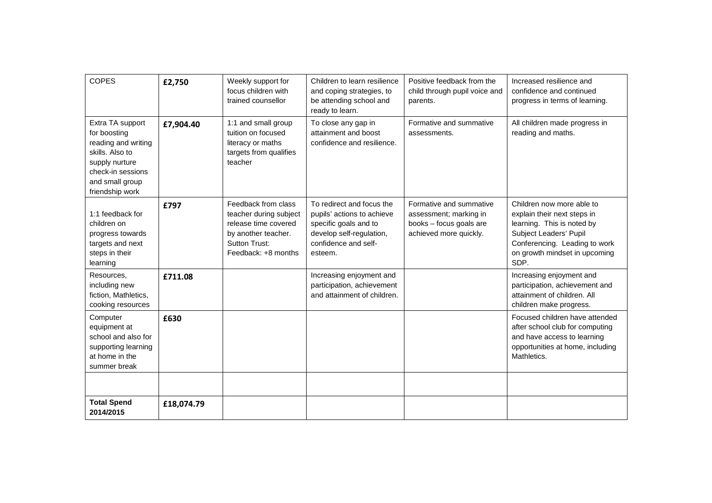| <b>COPES</b>                                                                                                                                            | £2,750     | Weekly support for<br>focus children with<br>trained counsellor                                                                             | Children to learn resilience<br>and coping strategies, to<br>be attending school and<br>ready to learn.                                         | Positive feedback from the<br>child through pupil voice and<br>parents.                                | Increased resilience and<br>confidence and continued<br>progress in terms of learning.                                                                                                     |
|---------------------------------------------------------------------------------------------------------------------------------------------------------|------------|---------------------------------------------------------------------------------------------------------------------------------------------|-------------------------------------------------------------------------------------------------------------------------------------------------|--------------------------------------------------------------------------------------------------------|--------------------------------------------------------------------------------------------------------------------------------------------------------------------------------------------|
| Extra TA support<br>for boosting<br>reading and writing<br>skills. Also to<br>supply nurture<br>check-in sessions<br>and small group<br>friendship work | £7,904.40  | 1:1 and small group<br>tuition on focused<br>literacy or maths<br>targets from qualifies<br>teacher                                         | To close any gap in<br>attainment and boost<br>confidence and resilience.                                                                       | Formative and summative<br>assessments.                                                                | All children made progress in<br>reading and maths.                                                                                                                                        |
| 1:1 feedback for<br>children on<br>progress towards<br>targets and next<br>steps in their<br>learning                                                   | £797       | Feedback from class<br>teacher during subject<br>release time covered<br>by another teacher.<br><b>Sutton Trust:</b><br>Feedback: +8 months | To redirect and focus the<br>pupils' actions to achieve<br>specific goals and to<br>develop self-regulation,<br>confidence and self-<br>esteem. | Formative and summative<br>assessment; marking in<br>books - focus goals are<br>achieved more quickly. | Children now more able to<br>explain their next steps in<br>learning. This is noted by<br>Subject Leaders' Pupil<br>Conferencing. Leading to work<br>on growth mindset in upcoming<br>SDP. |
| Resources,<br>including new<br>fiction, Mathletics,<br>cooking resources                                                                                | £711.08    |                                                                                                                                             | Increasing enjoyment and<br>participation, achievement<br>and attainment of children.                                                           |                                                                                                        | Increasing enjoyment and<br>participation, achievement and<br>attainment of children. All<br>children make progress.                                                                       |
| Computer<br>equipment at<br>school and also for<br>supporting learning<br>at home in the<br>summer break                                                | £630       |                                                                                                                                             |                                                                                                                                                 |                                                                                                        | Focused children have attended<br>after school club for computing<br>and have access to learning<br>opportunities at home, including<br>Mathletics.                                        |
|                                                                                                                                                         |            |                                                                                                                                             |                                                                                                                                                 |                                                                                                        |                                                                                                                                                                                            |
| <b>Total Spend</b><br>2014/2015                                                                                                                         | £18,074.79 |                                                                                                                                             |                                                                                                                                                 |                                                                                                        |                                                                                                                                                                                            |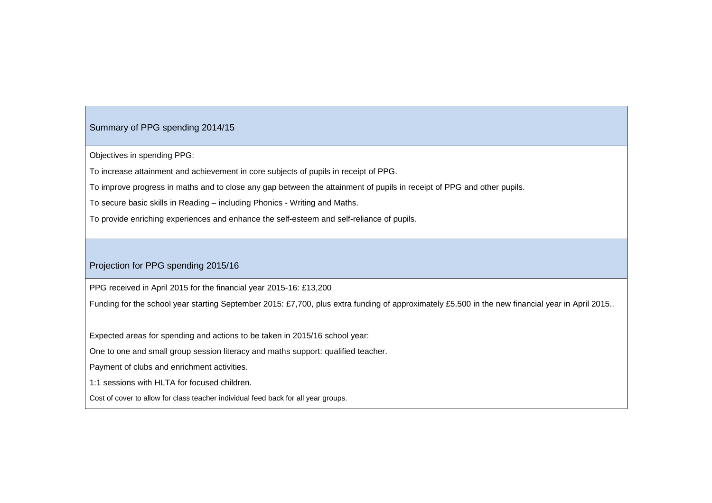## Summary of PPG spending 2014/15

Objectives in spending PPG:

To increase attainment and achievement in core subjects of pupils in receipt of PPG.

To improve progress in maths and to close any gap between the attainment of pupils in receipt of PPG and other pupils.

To secure basic skills in Reading – including Phonics - Writing and Maths.

To provide enriching experiences and enhance the self-esteem and self-reliance of pupils.

## Projection for PPG spending 2015/16

PPG received in April 2015 for the financial year 2015-16: £13,200

Funding for the school year starting September 2015: £7,700, plus extra funding of approximately £5,500 in the new financial year in April 2015..

Expected areas for spending and actions to be taken in 2015/16 school year:

One to one and small group session literacy and maths support: qualified teacher.

Payment of clubs and enrichment activities.

1:1 sessions with HLTA for focused children.

Cost of cover to allow for class teacher individual feed back for all year groups.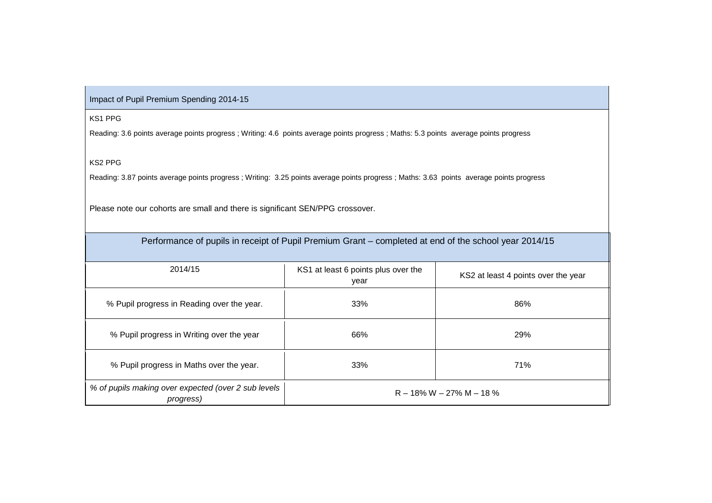Impact of Pupil Premium Spending 2014-15

KS1 PPG

Reading: 3.6 points average points progress ; Writing: 4.6 points average points progress ; Maths: 5.3 points average points progress

KS2 PPG

Reading: 3.87 points average points progress ; Writing: 3.25 points average points progress ; Maths: 3.63 points average points progress

Please note our cohorts are small and there is significant SEN/PPG crossover.

| Performance of pupils in receipt of Pupil Premium Grant – completed at end of the school year 2014/15 |                                             |                                     |  |  |  |
|-------------------------------------------------------------------------------------------------------|---------------------------------------------|-------------------------------------|--|--|--|
| 2014/15                                                                                               | KS1 at least 6 points plus over the<br>year | KS2 at least 4 points over the year |  |  |  |
| % Pupil progress in Reading over the year.                                                            | 33%                                         | 86%                                 |  |  |  |
| % Pupil progress in Writing over the year                                                             | 66%                                         | 29%                                 |  |  |  |
| % Pupil progress in Maths over the year.                                                              | 33%                                         | 71%                                 |  |  |  |
| % of pupils making over expected (over 2 sub levels<br>progress)                                      | $R - 18\% W - 27\% W - 18\%$                |                                     |  |  |  |